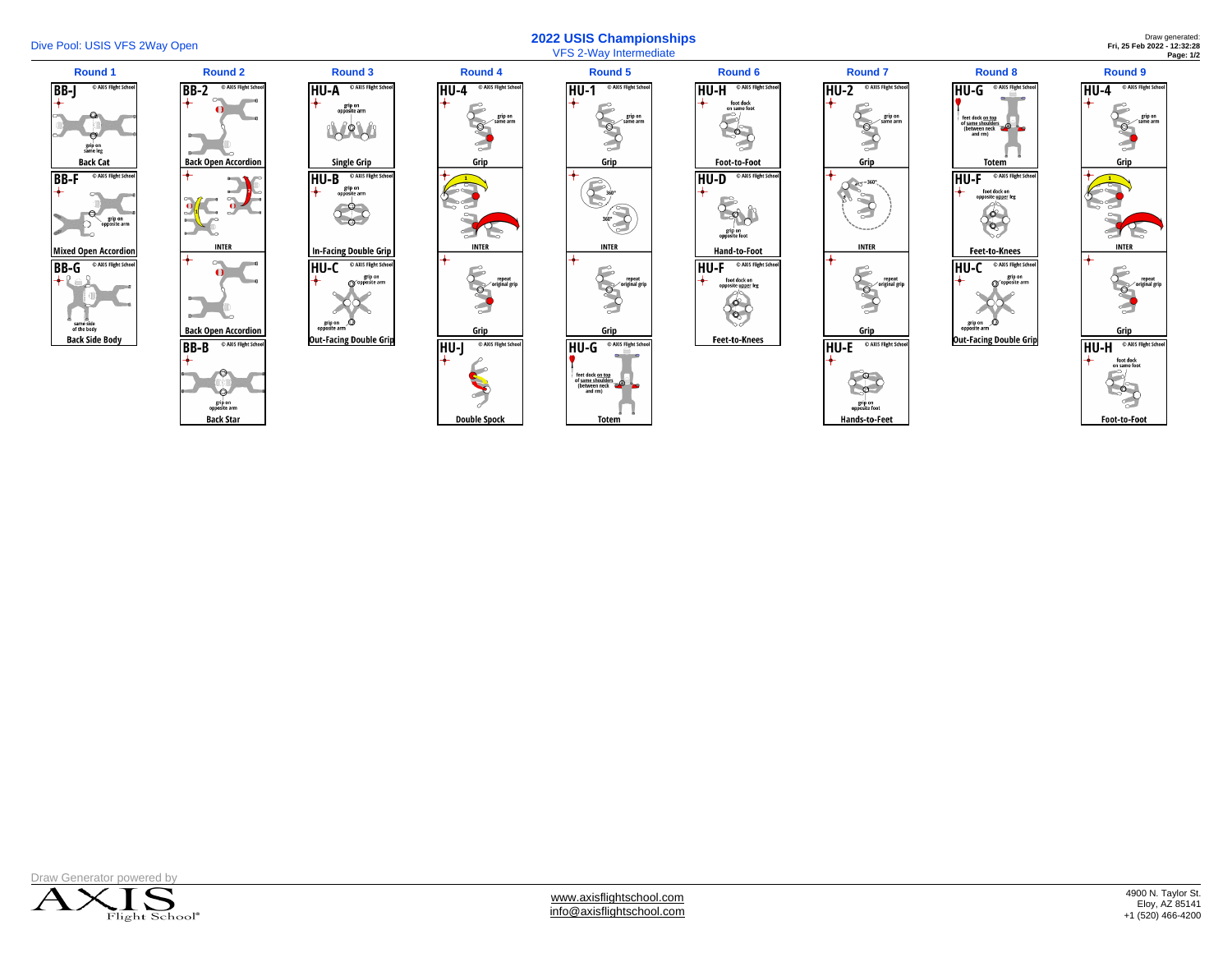

## Dive Pool: USIS VFS 2Way Open **2022 USIS Championships**  VFS 2-Way Intermediate